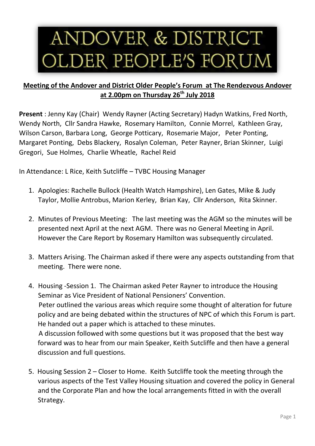## ANDOVER & DISTRICT OLDER PEOPLE'S FORUM

## **Meeting of the Andover and District Older People's Forum at The Rendezvous Andover at 2.00pm on Thursday 26th July 2018**

**Present** : Jenny Kay (Chair) Wendy Rayner (Acting Secretary) Hadyn Watkins, Fred North, Wendy North, Cllr Sandra Hawke, Rosemary Hamilton, Connie Morrel, Kathleen Gray, Wilson Carson, Barbara Long, George Potticary, Rosemarie Major, Peter Ponting, Margaret Ponting, Debs Blackery, Rosalyn Coleman, Peter Rayner, Brian Skinner, Luigi Gregori, Sue Holmes, Charlie Wheatle, Rachel Reid

In Attendance: L Rice, Keith Sutcliffe – TVBC Housing Manager

- 1. Apologies: Rachelle Bullock (Health Watch Hampshire), Len Gates, Mike & Judy Taylor, Mollie Antrobus, Marion Kerley, Brian Kay, Cllr Anderson, Rita Skinner.
- 2. Minutes of Previous Meeting: The last meeting was the AGM so the minutes will be presented next April at the next AGM. There was no General Meeting in April. However the Care Report by Rosemary Hamilton was subsequently circulated.
- 3. Matters Arising. The Chairman asked if there were any aspects outstanding from that meeting. There were none.
- 4. Housing -Session 1. The Chairman asked Peter Rayner to introduce the Housing Seminar as Vice President of National Pensioners' Convention. Peter outlined the various areas which require some thought of alteration for future policy and are being debated within the structures of NPC of which this Forum is part. He handed out a paper which is attached to these minutes. A discussion followed with some questions but it was proposed that the best way forward was to hear from our main Speaker, Keith Sutcliffe and then have a general discussion and full questions.
- 5. Housing Session 2 Closer to Home. Keith Sutcliffe took the meeting through the various aspects of the Test Valley Housing situation and covered the policy in General and the Corporate Plan and how the local arrangements fitted in with the overall Strategy.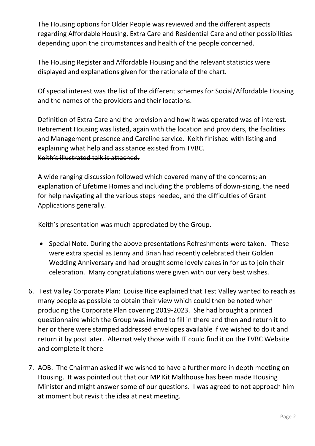The Housing options for Older People was reviewed and the different aspects regarding Affordable Housing, Extra Care and Residential Care and other possibilities depending upon the circumstances and health of the people concerned.

The Housing Register and Affordable Housing and the relevant statistics were displayed and explanations given for the rationale of the chart.

Of special interest was the list of the different schemes for Social/Affordable Housing and the names of the providers and their locations.

Definition of Extra Care and the provision and how it was operated was of interest. Retirement Housing was listed, again with the location and providers, the facilities and Management presence and Careline service. Keith finished with listing and explaining what help and assistance existed from TVBC. Keith's illustrated talk is attached.

A wide ranging discussion followed which covered many of the concerns; an explanation of Lifetime Homes and including the problems of down-sizing, the need for help navigating all the various steps needed, and the difficulties of Grant Applications generally.

Keith's presentation was much appreciated by the Group.

- Special Note. During the above presentations Refreshments were taken. These were extra special as Jenny and Brian had recently celebrated their Golden Wedding Anniversary and had brought some lovely cakes in for us to join their celebration. Many congratulations were given with our very best wishes.
- 6. Test Valley Corporate Plan: Louise Rice explained that Test Valley wanted to reach as many people as possible to obtain their view which could then be noted when producing the Corporate Plan covering 2019-2023. She had brought a printed questionnaire which the Group was invited to fill in there and then and return it to her or there were stamped addressed envelopes available if we wished to do it and return it by post later. Alternatively those with IT could find it on the TVBC Website and complete it there
- 7. AOB. The Chairman asked if we wished to have a further more in depth meeting on Housing. It was pointed out that our MP Kit Malthouse has been made Housing Minister and might answer some of our questions. I was agreed to not approach him at moment but revisit the idea at next meeting.